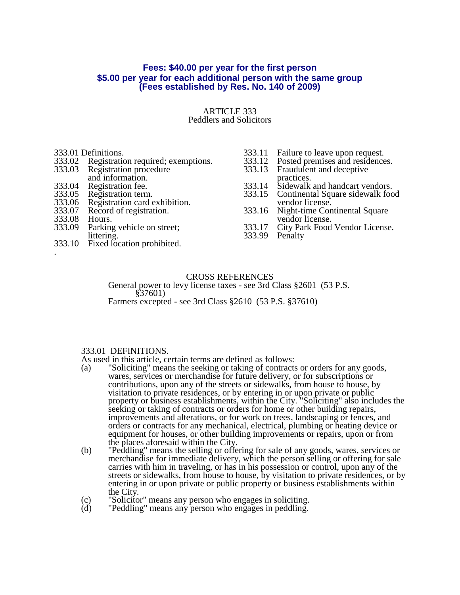## **Fees: \$40.00 per year for the first person \$5.00 per year for each additional person with the same group (Fees established by Res. No. 140 of 2009)**

## ARTICLE 333 Peddlers and Solicitors

#### 333.01 Definitions.

- 333.02 Registration required; exemptions.<br>333.03 Registration procedure
- Registration procedure
- and information.
- 333.04 Registration fee.<br>333.05 Registration term
- 333.05 Registration term.<br>333.06 Registration card 6
- 333.06 Registration card exhibition.<br>333.07 Record of registration.
- Record of registration.
- 333.08 Hours.<br>333.09 Parking
- Parking vehicle on street; littering.
- 333.10 Fixed location prohibited. .
- 333.11 Failure to leave upon request.<br>333.12 Posted premises and residence
- 333.12 Posted premises and residences.<br>333.13 Fraudulent and deceptive
- Fraudulent and deceptive
- practices.
- 333.14 Sidewalk and handcart vendors. 333.15 Continental Square sidewalk food
- vendor license.
- 333.16 Night-time Continental Square vendor license.
- 333.17 City Park Food Vendor License.
- 333.99 Penalty

CROSS REFERENCES General power to levy license taxes - see 3rd Class §2601 (53 P.S. §37601) Farmers excepted - see 3rd Class §2610 (53 P.S. §37610)

## 333.01 DEFINITIONS.

As used in this article, certain terms are defined as follows:

- (a) "Soliciting" means the seeking or taking of contracts or orders for any goods, wares, services or merchandise for future delivery, or for subscriptions or contributions, upon any of the streets or sidewalks, from house to house, by visitation to private residences, or by entering in or upon private or public property or business establishments, within the City. "Soliciting" also includes the seeking or taking of contracts or orders for home or other building repairs, improvements and alterations, or for work on trees, landscaping or fences, and orders or contracts for any mechanical, electrical, plumbing or heating device or equipment for houses, or other building improvements or repairs, upon or from the places aforesaid within the City.
- (b) "Peddling" means the selling or offering for sale of any goods, wares, services or merchandise for immediate delivery, which the person selling or offering for sale carries with him in traveling, or has in his possession or control, upon any of the streets or sidewalks, from house to house, by visitation to private residences, or by entering in or upon private or public property or business establishments within the City.
- (c) "Solicitor" means any person who engages in soliciting.<br>(d) "Peddling" means any person who engages in peddling.
- "Peddling" means any person who engages in peddling.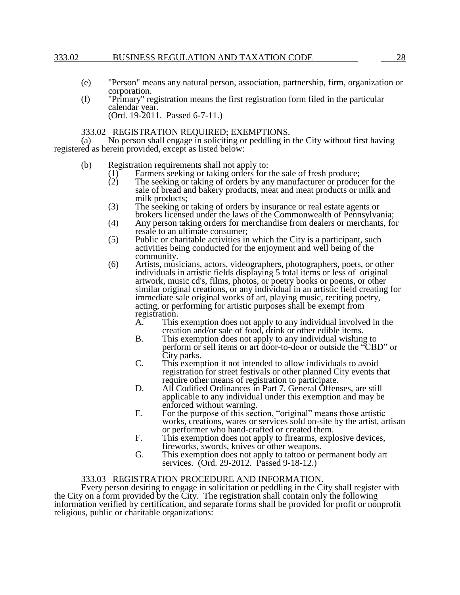## 333.02 BUSINESS REGULATION AND TAXATION CODE 28

- (e) "Person" means any natural person, association, partnership, firm, organization or corporation.
- (f) "Primary" registration means the first registration form filed in the particular calendar year. (Ord. 19-2011. Passed 6-7-11.)

## 333.02 REGISTRATION REQUIRED; EXEMPTIONS.

(a) No person shall engage in soliciting or peddling in the City without first having registered as herein provided, except as listed below:

- (b) Registration requirements shall not apply to:
	- (1) Farmers seeking or taking orders for the sale of fresh produce;<br>(2) The seeking or taking of orders by any manufacturer or produc
	- The seeking or taking of orders by any manufacturer or producer for the sale of bread and bakery products, meat and meat products or milk and milk products;
	- (3) The seeking or taking of orders by insurance or real estate agents or brokers licensed under the laws of the Commonwealth of Pennsylvania;
	- (4) Any person taking orders for merchandise from dealers or merchants, for resale to an ultimate consumer;
	- (5) Public or charitable activities in which the City is a participant, such activities being conducted for the enjoyment and well being of the community.
	- (6) Artists, musicians, actors, videographers, photographers, poets, or other individuals in artistic fields displaying 5 total items or less of original artwork, music cd's, films, photos, or poetry books or poems, or other similar original creations, or any individual in an artistic field creating for immediate sale original works of art, playing music, reciting poetry, acting, or performing for artistic purposes shall be exempt from registration.<br>A. This
		- This exemption does not apply to any individual involved in the creation and/or sale of food, drink or other edible items.
		- B. This exemption does not apply to any individual wishing to perform or sell items or art door-to-door or outside the "CBD" or City parks.
		- C. This exemption it not intended to allow individuals to avoid registration for street festivals or other planned City events that require other means of registration to participate.
		- D. All Codified Ordinances in Part 7, General Offenses, are still applicable to any individual under this exemption and may be enforced without warning.
		- E. For the purpose of this section, "original" means those artistic works, creations, wares or services sold on-site by the artist, artisan or performer who hand-crafted or created them.
		- F. This exemption does not apply to firearms, explosive devices, fireworks, swords, knives or other weapons.
		- G. This exemption does not apply to tattoo or permanent body art services. (Ord. 29-2012. Passed 9-18-12.)

## 333.03 REGISTRATION PROCEDURE AND INFORMATION.

Every person desiring to engage in solicitation or peddling in the City shall register with the City on a form provided by the City. The registration shall contain only the following information verified by certification, and separate forms shall be provided for profit or nonprofit religious, public or charitable organizations: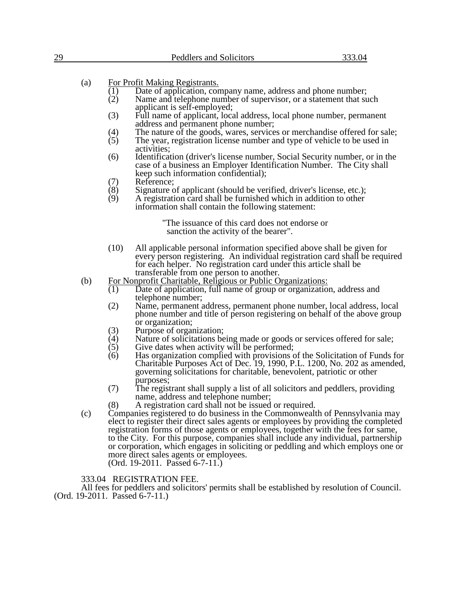| 29                             | Peddlers and Solicitors                                                                                                                                                                                                                                                                                                                                                                                                        | 333.04 |
|--------------------------------|--------------------------------------------------------------------------------------------------------------------------------------------------------------------------------------------------------------------------------------------------------------------------------------------------------------------------------------------------------------------------------------------------------------------------------|--------|
|                                |                                                                                                                                                                                                                                                                                                                                                                                                                                |        |
| (a)                            | For Profit Making Registrants.<br>Date of application, company name, address and phone number;<br>(1)<br>(2)<br>Name and telephone number of supervisor, or a statement that such                                                                                                                                                                                                                                              |        |
|                                | applicant is self-employed;<br>(3)<br>Full name of applicant, local address, local phone number, permanent<br>address and permanent phone number;                                                                                                                                                                                                                                                                              |        |
|                                | (4)<br>The nature of the goods, wares, services or merchandise offered for sale;<br>(5)<br>The year, registration license number and type of vehicle to be used in<br>activities;                                                                                                                                                                                                                                              |        |
|                                | (6)<br>Identification (driver's license number, Social Security number, or in the<br>case of a business an Employer Identification Number. The City shall<br>keep such information confidential);                                                                                                                                                                                                                              |        |
|                                | Reference;<br>(7)<br>(8)<br>Signature of applicant (should be verified, driver's license, etc.);<br>(9)<br>A registration card shall be furnished which in addition to other<br>information shall contain the following statement:                                                                                                                                                                                             |        |
|                                | "The issuance of this card does not endorse or<br>sanction the activity of the bearer".                                                                                                                                                                                                                                                                                                                                        |        |
|                                | (10)<br>All applicable personal information specified above shall be given for<br>every person registering. An individual registration card shall be required<br>for each helper. No registration card under this article shall be<br>transferable from one person to another.                                                                                                                                                 |        |
| (b)                            | For Nonprofit Charitable, Religious or Public Organizations:<br>Date of application, full name of group or organization, address and<br>(1)<br>telephone number;                                                                                                                                                                                                                                                               |        |
|                                | (2)<br>Name, permanent address, permanent phone number, local address, local<br>phone number and title of person registering on behalf of the above group<br>or organization;                                                                                                                                                                                                                                                  |        |
|                                | (3)<br>Purpose of organization;<br>(4)<br>Nature of solicitations being made or goods or services offered for sale;                                                                                                                                                                                                                                                                                                            |        |
|                                | (5)<br>Give dates when activity will be performed;                                                                                                                                                                                                                                                                                                                                                                             |        |
|                                | (6)<br>Has organization complied with provisions of the Solicitation of Funds for<br>Charitable Purposes Act of Dec. 19, 1990, P.L. 1200, No. 202 as amended,<br>governing solicitations for charitable, benevolent, patriotic or other                                                                                                                                                                                        |        |
|                                | purposes;<br>(7)<br>The registrant shall supply a list of all solicitors and peddlers, providing<br>name, address and telephone number;                                                                                                                                                                                                                                                                                        |        |
|                                | A registration card shall not be issued or required.<br>(8)<br>Companies registered to do business in the Commonwealth of Pennsylvania may                                                                                                                                                                                                                                                                                     |        |
| (c)                            | elect to register their direct sales agents or employees by providing the completed<br>registration forms of those agents or employees, together with the fees for same,<br>to the City. For this purpose, companies shall include any individual, partnership<br>or corporation, which engages in soliciting or peddling and which employs one or<br>more direct sales agents or employees.<br>(Ord. 19-2011. Passed 6-7-11.) |        |
| (Ord. 19-2011. Passed 6-7-11.) | 333.04 REGISTRATION FEE.<br>All fees for peddlers and solicitors' permits shall be established by resolution of Council.                                                                                                                                                                                                                                                                                                       |        |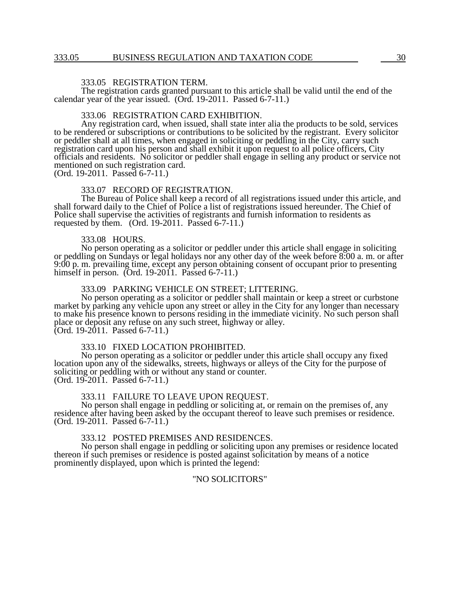## 333.05 REGISTRATION TERM.

The registration cards granted pursuant to this article shall be valid until the end of the calendar year of the year issued. (Ord. 19-2011. Passed 6-7-11.)

#### 333.06 REGISTRATION CARD EXHIBITION.

Any registration card, when issued, shall state inter alia the products to be sold, services to be rendered or subscriptions or contributions to be solicited by the registrant. Every solicitor or peddler shall at all times, when engaged in soliciting or peddling in the City, carry such registration card upon his person and shall exhibit it upon request to all police officers, City officials and residents. No solicitor or peddler shall engage in selling any product or service not mentioned on such registration card.

(Ord. 19-2011. Passed 6-7-11.)

## 333.07 RECORD OF REGISTRATION.

The Bureau of Police shall keep a record of all registrations issued under this article, and shall forward daily to the Chief of Police a list of registrations issued hereunder. The Chief of Police shall supervise the activities of registrants and furnish information to residents as requested by them. (Ord. 19-2011. Passed 6-7-11.)

#### 333.08 HOURS.

No person operating as a solicitor or peddler under this article shall engage in soliciting or peddling on Sundays or legal holidays nor any other day of the week before 8:00 a. m. or after 9:00 p. m. prevailing time, except any person obtaining consent of occupant prior to presenting himself in person. (Ord. 19-2011. Passed 6-7-11.)

## 333.09 PARKING VEHICLE ON STREET; LITTERING.

No person operating as a solicitor or peddler shall maintain or keep a street or curbstone market by parking any vehicle upon any street or alley in the City for any longer than necessary to make his presence known to persons residing in the immediate vicinity. No such person shall place or deposit any refuse on any such street, highway or alley. (Ord. 19-2011. Passed 6-7-11.)

#### 333.10 FIXED LOCATION PROHIBITED.

No person operating as a solicitor or peddler under this article shall occupy any fixed location upon any of the sidewalks, streets, highways or alleys of the City for the purpose of soliciting or peddling with or without any stand or counter. (Ord. 19-2011. Passed 6-7-11.)

#### 333.11 FAILURE TO LEAVE UPON REQUEST.

No person shall engage in peddling or soliciting at, or remain on the premises of, any residence after having been asked by the occupant thereof to leave such premises or residence. (Ord. 19-2011. Passed 6-7-11.)

#### 333.12 POSTED PREMISES AND RESIDENCES.

No person shall engage in peddling or soliciting upon any premises or residence located thereon if such premises or residence is posted against solicitation by means of a notice prominently displayed, upon which is printed the legend:

## "NO SOLICITORS"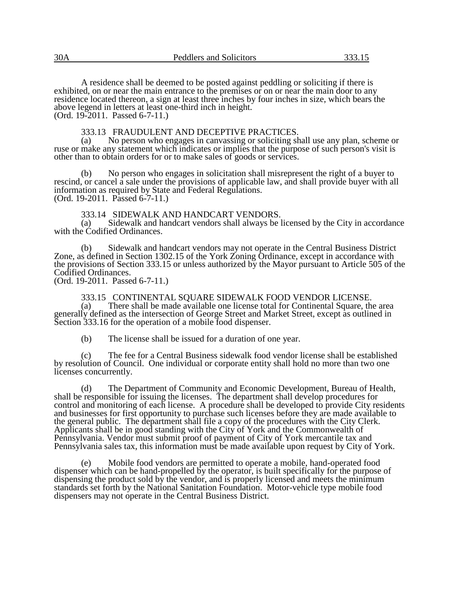A residence shall be deemed to be posted against peddling or soliciting if there is exhibited, on or near the main entrance to the premises or on or near the main door to any residence located thereon, a sign at least three inches by four inches in size, which bears the above legend in letters at least one-third inch in height. (Ord. 19-2011. Passed 6-7-11.)

#### 333.13 FRAUDULENT AND DECEPTIVE PRACTICES.

(a) No person who engages in canvassing or soliciting shall use any plan, scheme or ruse or make any statement which indicates or implies that the purpose of such person's visit is other than to obtain orders for or to make sales of goods or services.

No person who engages in solicitation shall misrepresent the right of a buyer to rescind, or cancel a sale under the provisions of applicable law, and shall provide buyer with all information as required by State and Federal Regulations. (Ord. 19-2011. Passed 6-7-11.)

# 333.14 SIDEWALK AND HANDCART VENDORS.<br>(a) Sidewalk and handcart vendors shall always be l

Sidewalk and handcart vendors shall always be licensed by the City in accordance with the Codified Ordinances.

(b) Sidewalk and handcart vendors may not operate in the Central Business District Zone, as defined in Section 1302.15 of the York Zoning Ordinance, except in accordance with the provisions of Section 333.15 or unless authorized by the Mayor pursuant to Article 505 of the Codified Ordinances.

(Ord. 19-2011. Passed 6-7-11.)

333.15 CONTINENTAL SQUARE SIDEWALK FOOD VENDOR LICENSE.<br>(a) There shall be made available one license total for Continental Square, the There shall be made available one license total for Continental Square, the area generally defined as the intersection of George Street and Market Street, except as outlined in Section 333.16 for the operation of a mobile food dispenser.

(b) The license shall be issued for a duration of one year.

(c) The fee for a Central Business sidewalk food vendor license shall be established by resolution of Council. One individual or corporate entity shall hold no more than two one licenses concurrently.

(d) The Department of Community and Economic Development, Bureau of Health, shall be responsible for issuing the licenses. The department shall develop procedures for control and monitoring of each license. A procedure shall be developed to provide City residents and businesses for first opportunity to purchase such licenses before they are made available to the general public. The department shall file a copy of the procedures with the City Clerk. Applicants shall be in good standing with the City of York and the Commonwealth of Pennsylvania. Vendor must submit proof of payment of City of York mercantile tax and Pennsylvania sales tax, this information must be made available upon request by City of York.

(e) Mobile food vendors are permitted to operate a mobile, hand-operated food dispenser which can be hand-propelled by the operator, is built specifically for the purpose of dispensing the product sold by the vendor, and is properly licensed and meets the minimum standards set forth by the National Sanitation Foundation. Motor-vehicle type mobile food dispensers may not operate in the Central Business District.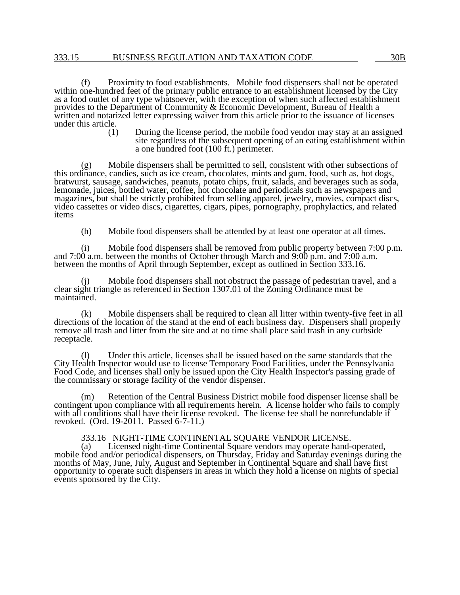(f) Proximity to food establishments. Mobile food dispensers shall not be operated within one-hundred feet of the primary public entrance to an establishment licensed by the City as a food outlet of any type whatsoever, with the exception of when such affected establishment provides to the Department of Community & Economic Development, Bureau of Health a written and notarized letter expressing waiver from this article prior to the issuance of licenses under this article.

(1) During the license period, the mobile food vendor may stay at an assigned site regardless of the subsequent opening of an eating establishment within a one hundred foot (100 ft.) perimeter.

(g) Mobile dispensers shall be permitted to sell, consistent with other subsections of this ordinance, candies, such as ice cream, chocolates, mints and gum, food, such as, hot dogs, bratwurst, sausage, sandwiches, peanuts, potato chips, fruit, salads, and beverages such as soda, lemonade, juices, bottled water, coffee, hot chocolate and periodicals such as newspapers and magazines, but shall be strictly prohibited from selling apparel, jewelry, movies, compact discs, video cassettes or video discs, cigarettes, cigars, pipes, pornography, prophylactics, and related items

(h) Mobile food dispensers shall be attended by at least one operator at all times.

(i) Mobile food dispensers shall be removed from public property between 7:00 p.m. and 7:00 a.m. between the months of October through March and 9:00 p.m. and 7:00 a.m. between the months of April through September, except as outlined in Section 333.16.

Mobile food dispensers shall not obstruct the passage of pedestrian travel, and a (1) Mobile food dispensers shall not obstruct the passage of pedestrian may clear sight triangle as referenced in Section 1307.01 of the Zoning Ordinance must be maintained.

(k) Mobile dispensers shall be required to clean all litter within twenty-five feet in all directions of the location of the stand at the end of each business day. Dispensers shall properly remove all trash and litter from the site and at no time shall place said trash in any curbside receptacle.

(l) Under this article, licenses shall be issued based on the same standards that the City Health Inspector would use to license Temporary Food Facilities, under the Pennsylvania Food Code, and licenses shall only be issued upon the City Health Inspector's passing grade of the commissary or storage facility of the vendor dispenser.

(m) Retention of the Central Business District mobile food dispenser license shall be contingent upon compliance with all requirements herein. A license holder who fails to comply with all conditions shall have their license revoked. The license fee shall be nonrefundable if revoked. (Ord. 19-2011. Passed 6-7-11.)

## 333.16 NIGHT-TIME CONTINENTAL SQUARE VENDOR LICENSE.

(a) Licensed night-time Continental Square vendors may operate hand-operated, mobile food and/or periodical dispensers, on Thursday, Friday and Saturday evenings during the months of May, June, July, August and September in Continental Square and shall have first opportunity to operate such dispensers in areas in which they hold a license on nights of special events sponsored by the City.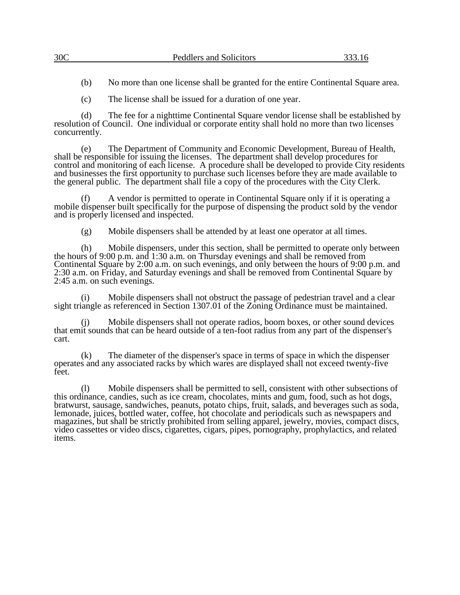(b) No more than one license shall be granted for the entire Continental Square area.

(c) The license shall be issued for a duration of one year.

(d) The fee for a nighttime Continental Square vendor license shall be established by resolution of Council. One individual or corporate entity shall hold no more than two licenses concurrently.

(e) The Department of Community and Economic Development, Bureau of Health, shall be responsible for issuing the licenses. The department shall develop procedures for control and monitoring of each license. A procedure shall be developed to provide City residents and businesses the first opportunity to purchase such licenses before they are made available to the general public. The department shall file a copy of the procedures with the City Clerk.

A vendor is permitted to operate in Continental Square only if it is operating a mobile dispenser built specifically for the purpose of dispensing the product sold by the vendor and is properly licensed and inspected.

(g) Mobile dispensers shall be attended by at least one operator at all times.

(h) Mobile dispensers, under this section, shall be permitted to operate only between the hours of 9:00 p.m. and 1:30 a.m. on Thursday evenings and shall be removed from Continental Square by 2:00 a.m. on such evenings, and only between the hours of 9:00 p.m. and 2:30 a.m. on Friday, and Saturday evenings and shall be removed from Continental Square by 2:45 a.m. on such evenings.

(i) Mobile dispensers shall not obstruct the passage of pedestrian travel and a clear sight triangle as referenced in Section 1307.01 of the Zoning Ordinance must be maintained.

Mobile dispensers shall not operate radios, boom boxes, or other sound devices that emit sounds that can be heard outside of a ten-foot radius from any part of the dispenser's cart.

(k) The diameter of the dispenser's space in terms of space in which the dispenser operates and any associated racks by which wares are displayed shall not exceed twenty-five feet.

(l) Mobile dispensers shall be permitted to sell, consistent with other subsections of this ordinance, candies, such as ice cream, chocolates, mints and gum, food, such as hot dogs, bratwurst, sausage, sandwiches, peanuts, potato chips, fruit, salads, and beverages such as soda, lemonade, juices, bottled water, coffee, hot chocolate and periodicals such as newspapers and magazines, but shall be strictly prohibited from selling apparel, jewelry, movies, compact discs, video cassettes or video discs, cigarettes, cigars, pipes, pornography, prophylactics, and related items.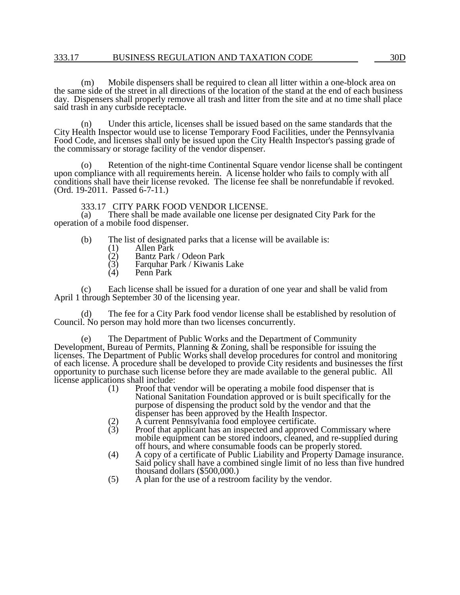### 333.17 BUSINESS REGULATION AND TAXATION CODE 30D

(m) Mobile dispensers shall be required to clean all litter within a one-block area on the same side of the street in all directions of the location of the stand at the end of each business day. Dispensers shall properly remove all trash and litter from the site and at no time shall place said trash in any curbside receptacle.

(n) Under this article, licenses shall be issued based on the same standards that the City Health Inspector would use to license Temporary Food Facilities, under the Pennsylvania Food Code, and licenses shall only be issued upon the City Health Inspector's passing grade of the commissary or storage facility of the vendor dispenser.

(o) Retention of the night-time Continental Square vendor license shall be contingent upon compliance with all requirements herein. A license holder who fails to comply with all conditions shall have their license revoked. The license fee shall be nonrefundable if revoked. (Ord. 19-2011. Passed 6-7-11.)

# 333.17 CITY PARK FOOD VENDOR LICENSE.<br>(a) There shall be made available one license per

There shall be made available one license per designated City Park for the operation of a mobile food dispenser.

- (b) The list of designated parks that a license will be available is:
	- (1) Allen Park<br>
	(2) Bantz Park<br>
	(3) Farquhar P
	- (2) Bantz Park / Odeon Park
	- $(3)$  Farquhar Park / Kiwanis Lake <br>(4) Penn Park
	- Penn Park

(c) Each license shall be issued for a duration of one year and shall be valid from April 1 through September 30 of the licensing year.

The fee for a City Park food vendor license shall be established by resolution of Council. No person may hold more than two licenses concurrently.

The Department of Public Works and the Department of Community Development, Bureau of Permits, Planning & Zoning, shall be responsible for issuing the licenses. The Department of Public Works shall develop procedures for control and monitoring of each license. A procedure shall be developed to provide City residents and businesses the first opportunity to purchase such license before they are made available to the general public. All license applications shall include:

- (1) Proof that vendor will be operating a mobile food dispenser that is National Sanitation Foundation approved or is built specifically for the purpose of dispensing the product sold by the vendor and that the dispenser has been approved by the Health Inspector.
- A current Pennsylvania food employee certificate.
- (3) Proof that applicant has an inspected and approved Commissary where mobile equipment can be stored indoors, cleaned, and re-supplied during off hours, and where consumable foods can be properly stored.
- (4) A copy of a certificate of Public Liability and Property Damage insurance. Said policy shall have a combined single limit of no less than five hundred thousand dollars (\$500,000.)
- (5) A plan for the use of a restroom facility by the vendor.